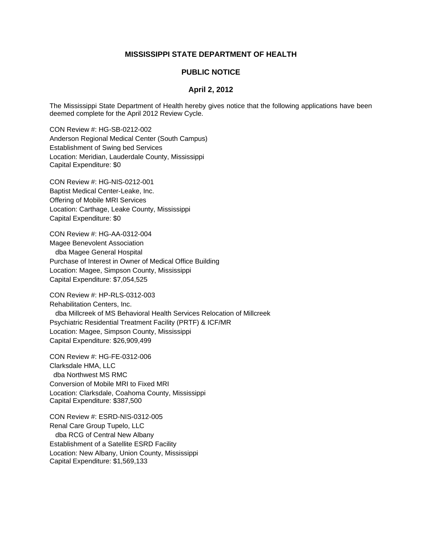## **MISSISSIPPI STATE DEPARTMENT OF HEALTH**

## **PUBLIC NOTICE**

## **April 2, 2012**

The Mississippi State Department of Health hereby gives notice that the following applications have been deemed complete for the April 2012 Review Cycle.

CON Review #: HG-SB-0212-002 Anderson Regional Medical Center (South Campus) Establishment of Swing bed Services Location: Meridian, Lauderdale County, Mississippi Capital Expenditure: \$0

CON Review #: HG-NIS-0212-001 Baptist Medical Center-Leake, Inc. Offering of Mobile MRI Services Location: Carthage, Leake County, Mississippi Capital Expenditure: \$0

CON Review #: HG-AA-0312-004 Magee Benevolent Association dba Magee General Hospital Purchase of Interest in Owner of Medical Office Building Location: Magee, Simpson County, Mississippi Capital Expenditure: \$7,054,525

CON Review #: HP-RLS-0312-003 Rehabilitation Centers, Inc. dba Millcreek of MS Behavioral Health Services Relocation of Millcreek Psychiatric Residential Treatment Facility (PRTF) & ICF/MR Location: Magee, Simpson County, Mississippi Capital Expenditure: \$26,909,499

CON Review #: HG-FE-0312-006 Clarksdale HMA, LLC dba Northwest MS RMC Conversion of Mobile MRI to Fixed MRI Location: Clarksdale, Coahoma County, Mississippi Capital Expenditure: \$387,500

CON Review #: ESRD-NIS-0312-005 Renal Care Group Tupelo, LLC dba RCG of Central New Albany Establishment of a Satellite ESRD Facility Location: New Albany, Union County, Mississippi Capital Expenditure: \$1,569,133